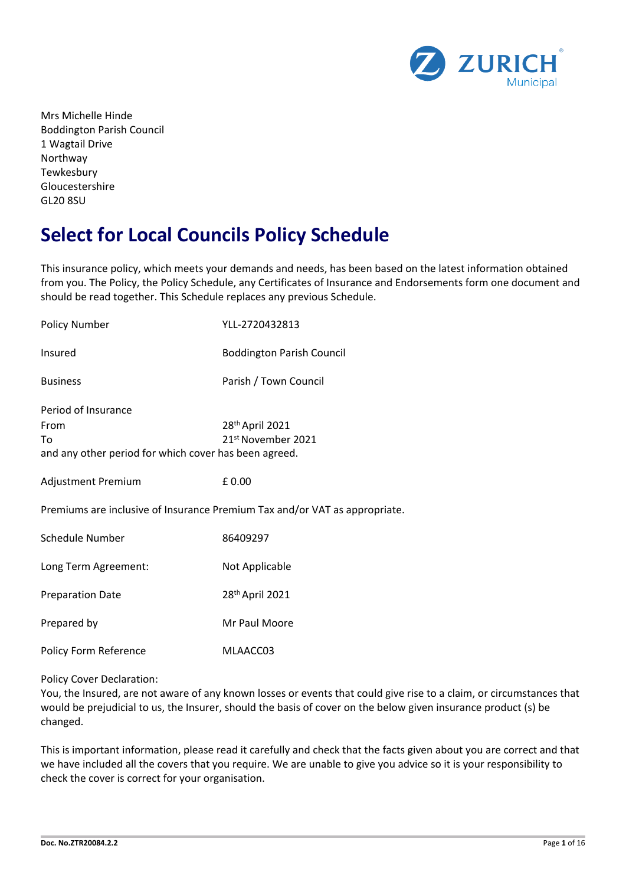

Mrs Michelle Hinde Boddington Parish Council 1 Wagtail Drive Northway **Tewkesbury** Gloucestershire GL20 8SU

# **Select for Local Councils Policy Schedule**

This insurance policy, which meets your demands and needs, has been based on the latest information obtained from you. The Policy, the Policy Schedule, any Certificates of Insurance and Endorsements form one document and should be read together. This Schedule replaces any previous Schedule.

| <b>Policy Number</b>                                                                                                                            | YLL-2720432813                   |  |  |
|-------------------------------------------------------------------------------------------------------------------------------------------------|----------------------------------|--|--|
| Insured                                                                                                                                         | <b>Boddington Parish Council</b> |  |  |
| <b>Business</b>                                                                                                                                 | Parish / Town Council            |  |  |
| Period of Insurance<br>28th April 2021<br>From<br>21 <sup>st</sup> November 2021<br>To<br>and any other period for which cover has been agreed. |                                  |  |  |
| Adjustment Premium                                                                                                                              | £0.00                            |  |  |
| Premiums are inclusive of Insurance Premium Tax and/or VAT as appropriate.                                                                      |                                  |  |  |
| <b>Schedule Number</b>                                                                                                                          | 86409297                         |  |  |
| Long Term Agreement:                                                                                                                            | Not Applicable                   |  |  |
| <b>Preparation Date</b>                                                                                                                         | 28th April 2021                  |  |  |
| Prepared by                                                                                                                                     | Mr Paul Moore                    |  |  |
| <b>Policy Form Reference</b>                                                                                                                    | MLAACC03                         |  |  |

Policy Cover Declaration:

You, the Insured, are not aware of any known losses or events that could give rise to a claim, or circumstances that would be prejudicial to us, the Insurer, should the basis of cover on the below given insurance product (s) be changed.

This is important information, please read it carefully and check that the facts given about you are correct and that we have included all the covers that you require. We are unable to give you advice so it is your responsibility to check the cover is correct for your organisation.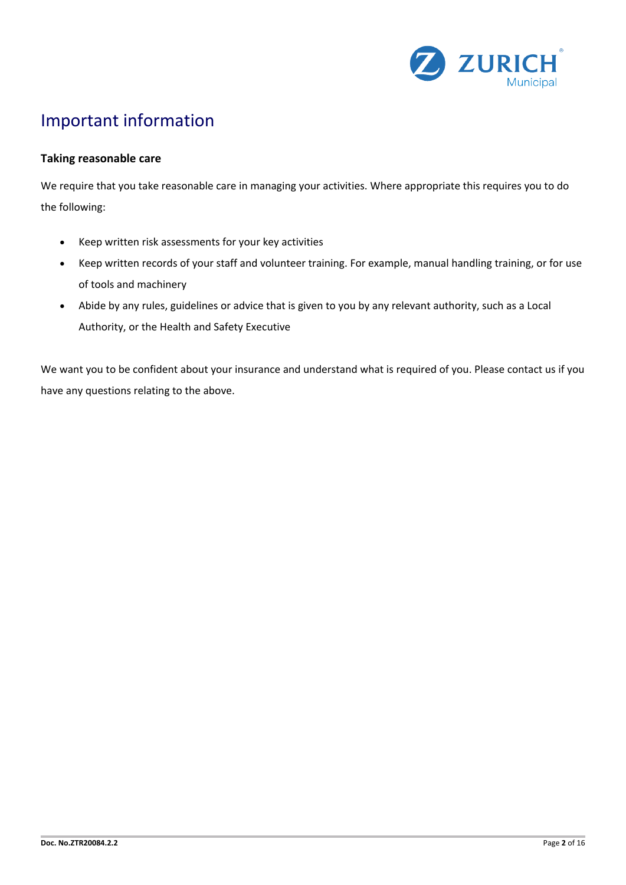

# Important information

## **Taking reasonable care**

We require that you take reasonable care in managing your activities. Where appropriate this requires you to do the following:

- Keep written risk assessments for your key activities
- Keep written records of your staff and volunteer training. For example, manual handling training, or for use of tools and machinery
- Abide by any rules, guidelines or advice that is given to you by any relevant authority, such as a Local Authority, or the Health and Safety Executive

We want you to be confident about your insurance and understand what is required of you. Please contact us if you have any questions relating to the above.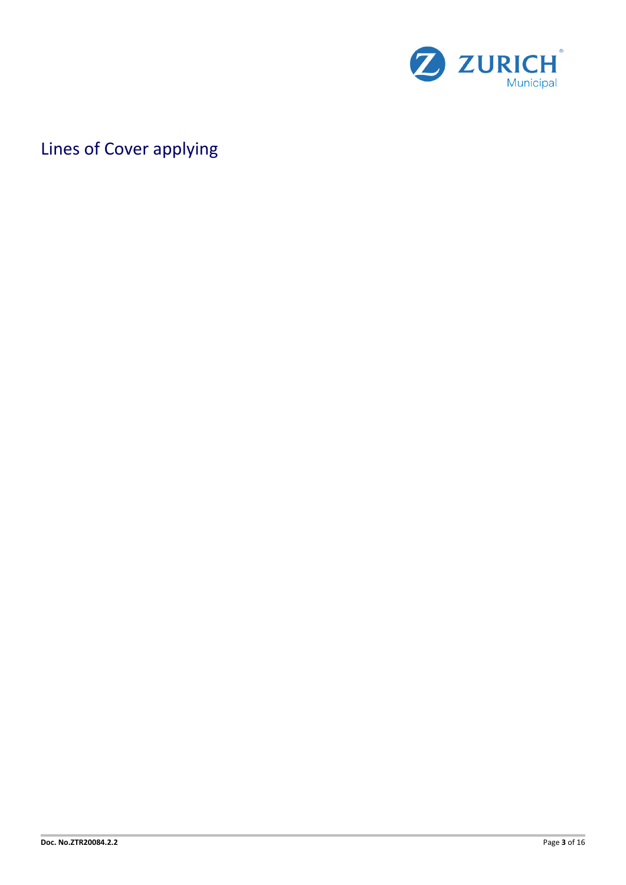

# Lines of Cover applying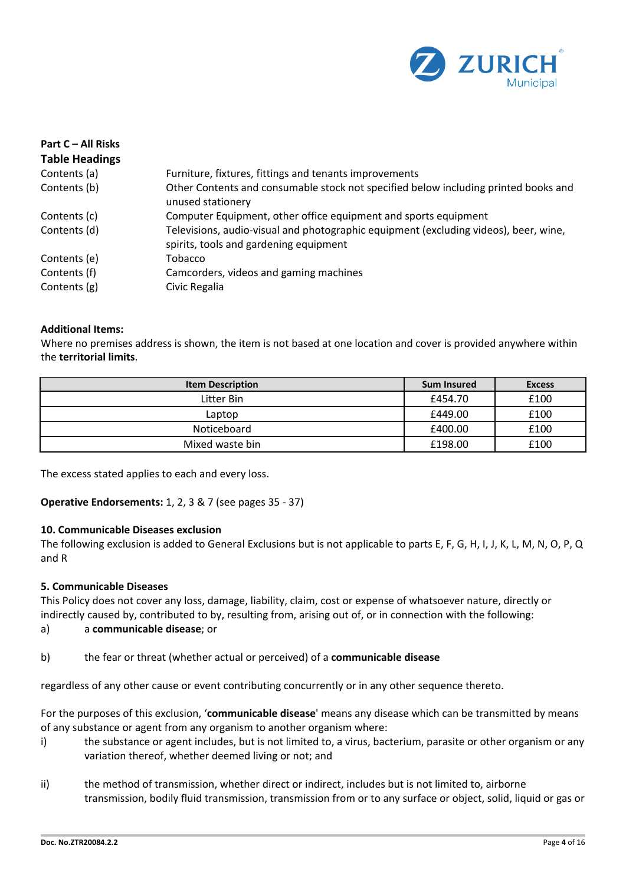

| Part C – All Risks<br><b>Table Headings</b> |                                                                                                                                |
|---------------------------------------------|--------------------------------------------------------------------------------------------------------------------------------|
| Contents (a)                                | Furniture, fixtures, fittings and tenants improvements                                                                         |
| Contents (b)                                | Other Contents and consumable stock not specified below including printed books and<br>unused stationery                       |
| Contents (c)                                | Computer Equipment, other office equipment and sports equipment                                                                |
| Contents (d)                                | Televisions, audio-visual and photographic equipment (excluding videos), beer, wine,<br>spirits, tools and gardening equipment |
| Contents (e)                                | Tobacco                                                                                                                        |
| Contents (f)                                | Camcorders, videos and gaming machines                                                                                         |
| Contents (g)                                | Civic Regalia                                                                                                                  |

## **Additional Items:**

Where no premises address is shown, the item is not based at one location and cover is provided anywhere within the **territorial limits**.

| <b>Item Description</b> | <b>Sum Insured</b> | <b>Excess</b> |
|-------------------------|--------------------|---------------|
| Litter Bin              | £454.70            | £100          |
| Laptop                  | £449.00            | £100          |
| Noticeboard             | £400.00            | £100          |
| Mixed waste bin         | £198.00            | £100          |

The excess stated applies to each and every loss.

## **Operative Endorsements:** 1, 2, 3 & 7 (see pages 35 - 37)

## **10. Communicable Diseases exclusion**

The following exclusion is added to General Exclusions but is not applicable to parts E, F, G, H, I, J, K, L, M, N, O, P, Q and R

## **5. Communicable Diseases**

This Policy does not cover any loss, damage, liability, claim, cost or expense of whatsoever nature, directly or indirectly caused by, contributed to by, resulting from, arising out of, or in connection with the following:

## a) a **communicable disease**; or

b) the fear or threat (whether actual or perceived) of a **communicable disease**

regardless of any other cause or event contributing concurrently or in any other sequence thereto.

For the purposes of this exclusion, '**communicable disease**' means any disease which can be transmitted by means of any substance or agent from any organism to another organism where:

- i) the substance or agent includes, but is not limited to, a virus, bacterium, parasite or other organism or any variation thereof, whether deemed living or not; and
- ii) the method of transmission, whether direct or indirect, includes but is not limited to, airborne transmission, bodily fluid transmission, transmission from or to any surface or object, solid, liquid or gas or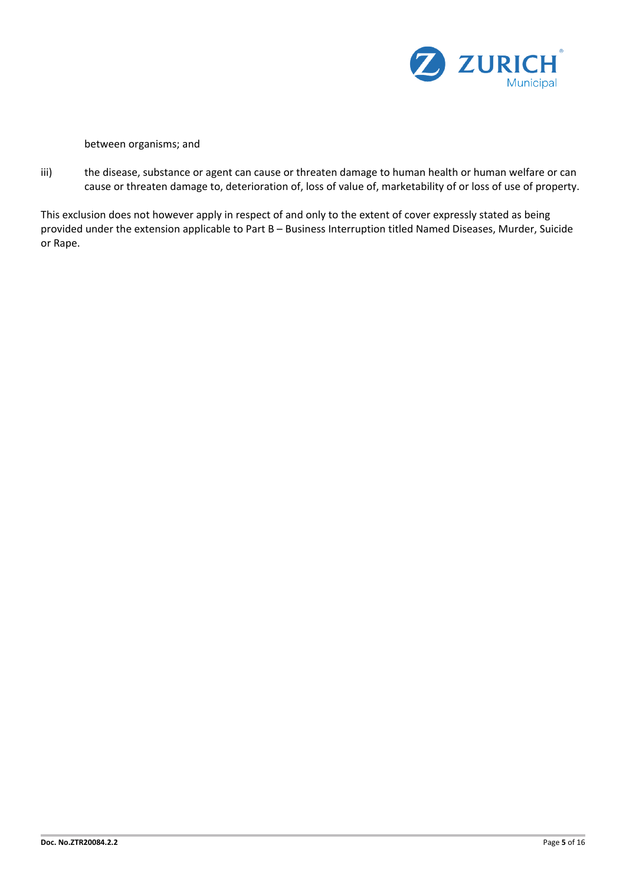

between organisms; and

iii) the disease, substance or agent can cause or threaten damage to human health or human welfare or can cause or threaten damage to, deterioration of, loss of value of, marketability of or loss of use of property.

This exclusion does not however apply in respect of and only to the extent of cover expressly stated as being provided under the extension applicable to Part B – Business Interruption titled Named Diseases, Murder, Suicide or Rape.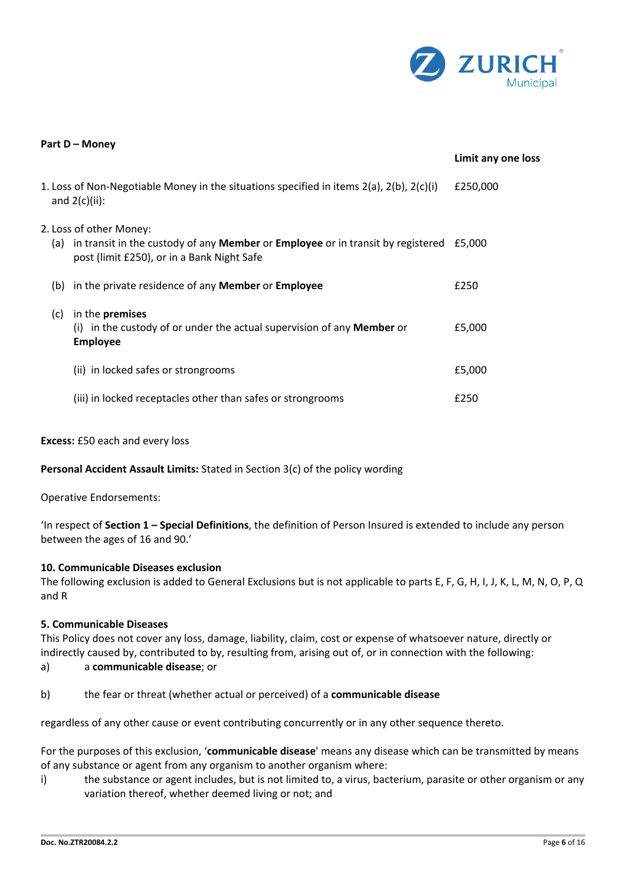

| Part D - Money |     |                                                                                                                                                                            |                    |
|----------------|-----|----------------------------------------------------------------------------------------------------------------------------------------------------------------------------|--------------------|
|                |     |                                                                                                                                                                            | Limit any one loss |
|                |     | 1. Loss of Non-Negotiable Money in the situations specified in items $2(a)$ , $2(b)$ , $2(c)(i)$<br>and $2(c)(ii)$ :                                                       | £250,000           |
|                |     | 2. Loss of other Money:<br>(a) in transit in the custody of any <b>Member</b> or <b>Employee</b> or in transit by registered<br>post (limit £250), or in a Bank Night Safe | £5.000             |
|                | (b) | in the private residence of any <b>Member</b> or <b>Employee</b>                                                                                                           | £250               |
|                | (c) | in the premises<br>(i) in the custody of or under the actual supervision of any <b>Member</b> or<br><b>Employee</b>                                                        | £5,000             |
|                |     | (ii) in locked safes or strongrooms                                                                                                                                        | £5,000             |
|                |     | (iii) in locked receptacles other than safes or strongrooms                                                                                                                | £250               |

## **Excess:** £50 each and every loss

**Personal Accident Assault Limits:** Stated in Section 3(c) of the policy wording

Operative Endorsements:

'In respect of **Section 1 – Special Definitions**, the definition of Person Insured is extended to include any person between the ages of 16 and 90.'

## **10. Communicable Diseases exclusion**

The following exclusion is added to General Exclusions but is not applicable to parts E, F, G, H, I, J, K, L, M, N, O, P, Q and R

## **5. Communicable Diseases**

This Policy does not cover any loss, damage, liability, claim, cost or expense of whatsoever nature, directly or indirectly caused by, contributed to by, resulting from, arising out of, or in connection with the following:

- a) a **communicable disease**; or
- b) the fear or threat (whether actual or perceived) of a **communicable disease**

regardless of any other cause or event contributing concurrently or in any other sequence thereto.

For the purposes of this exclusion, '**communicable disease**' means any disease which can be transmitted by means of any substance or agent from any organism to another organism where:

i) the substance or agent includes, but is not limited to, a virus, bacterium, parasite or other organism or any variation thereof, whether deemed living or not; and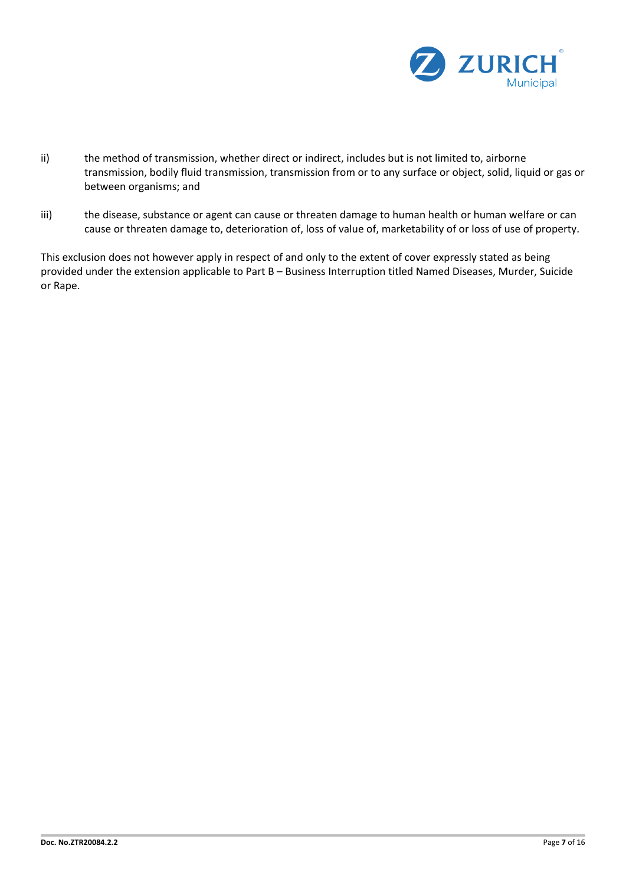

- ii) the method of transmission, whether direct or indirect, includes but is not limited to, airborne transmission, bodily fluid transmission, transmission from or to any surface or object, solid, liquid or gas or between organisms; and
- iii) the disease, substance or agent can cause or threaten damage to human health or human welfare or can cause or threaten damage to, deterioration of, loss of value of, marketability of or loss of use of property.

This exclusion does not however apply in respect of and only to the extent of cover expressly stated as being provided under the extension applicable to Part B – Business Interruption titled Named Diseases, Murder, Suicide or Rape.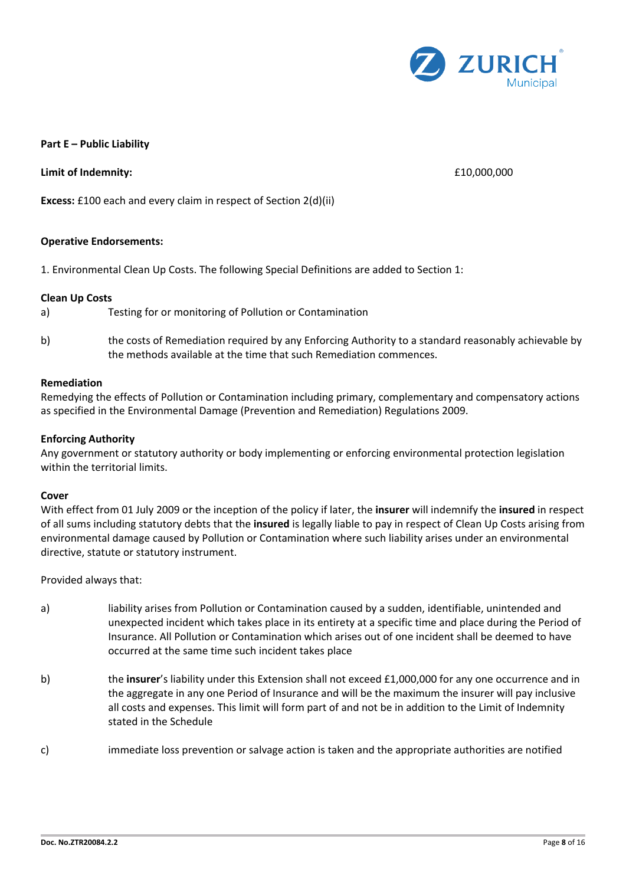

## **Part E – Public Liability**

**Limit of Indemnity:**  $\qquad 610,000,000$ 

**Excess:** £100 each and every claim in respect of Section 2(d)(ii)

## **Operative Endorsements:**

1. Environmental Clean Up Costs. The following Special Definitions are added to Section 1:

## **Clean Up Costs**

- a) Testing for or monitoring of Pollution or Contamination
- b) the costs of Remediation required by any Enforcing Authority to a standard reasonably achievable by the methods available at the time that such Remediation commences.

## **Remediation**

Remedying the effects of Pollution or Contamination including primary, complementary and compensatory actions as specified in the Environmental Damage (Prevention and Remediation) Regulations 2009.

## **Enforcing Authority**

Any government or statutory authority or body implementing or enforcing environmental protection legislation within the territorial limits.

## **Cover**

With effect from 01 July 2009 or the inception of the policy if later, the **insurer** will indemnify the **insured** in respect of all sums including statutory debts that the **insured** is legally liable to pay in respect of Clean Up Costs arising from environmental damage caused by Pollution or Contamination where such liability arises under an environmental directive, statute or statutory instrument.

Provided always that:

- a) liability arises from Pollution or Contamination caused by a sudden, identifiable, unintended and unexpected incident which takes place in its entirety at a specific time and place during the Period of Insurance. All Pollution or Contamination which arises out of one incident shall be deemed to have occurred at the same time such incident takes place
- b) the **insurer**'s liability under this Extension shall not exceed £1,000,000 for any one occurrence and in the aggregate in any one Period of Insurance and will be the maximum the insurer will pay inclusive all costs and expenses. This limit will form part of and not be in addition to the Limit of Indemnity stated in the Schedule
- c) immediate loss prevention or salvage action is taken and the appropriate authorities are notified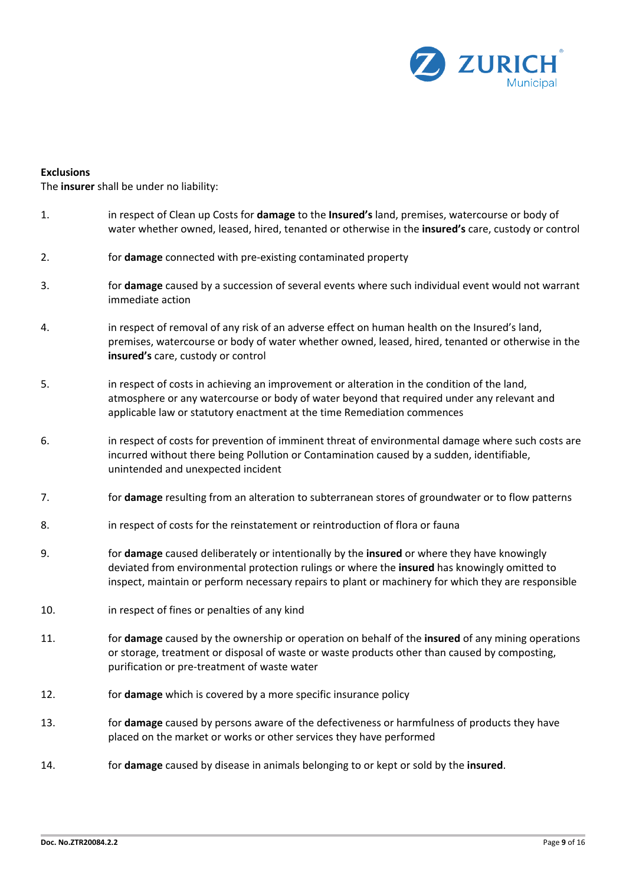

## **Exclusions**

The **insurer** shall be under no liability:

- 1. in respect of Clean up Costs for **damage** to the **Insured's** land, premises, watercourse or body of water whether owned, leased, hired, tenanted or otherwise in the **insured's** care, custody or control
- 2. for **damage** connected with pre-existing contaminated property
- 3. for **damage** caused by a succession of several events where such individual event would not warrant immediate action
- 4. in respect of removal of any risk of an adverse effect on human health on the Insured's land, premises, watercourse or body of water whether owned, leased, hired, tenanted or otherwise in the **insured's** care, custody or control
- 5. in respect of costs in achieving an improvement or alteration in the condition of the land, atmosphere or any watercourse or body of water beyond that required under any relevant and applicable law or statutory enactment at the time Remediation commences
- 6. in respect of costs for prevention of imminent threat of environmental damage where such costs are incurred without there being Pollution or Contamination caused by a sudden, identifiable, unintended and unexpected incident
- 7. for **damage** resulting from an alteration to subterranean stores of groundwater or to flow patterns
- 8. in respect of costs for the reinstatement or reintroduction of flora or fauna
- 9. for **damage** caused deliberately or intentionally by the **insured** or where they have knowingly deviated from environmental protection rulings or where the **insured** has knowingly omitted to inspect, maintain or perform necessary repairs to plant or machinery for which they are responsible
- 10. in respect of fines or penalties of any kind
- 11. for **damage** caused by the ownership or operation on behalf of the **insured** of any mining operations or storage, treatment or disposal of waste or waste products other than caused by composting, purification or pre-treatment of waste water
- 12. for **damage** which is covered by a more specific insurance policy
- 13. for **damage** caused by persons aware of the defectiveness or harmfulness of products they have placed on the market or works or other services they have performed
- 14. for **damage** caused by disease in animals belonging to or kept or sold by the **insured**.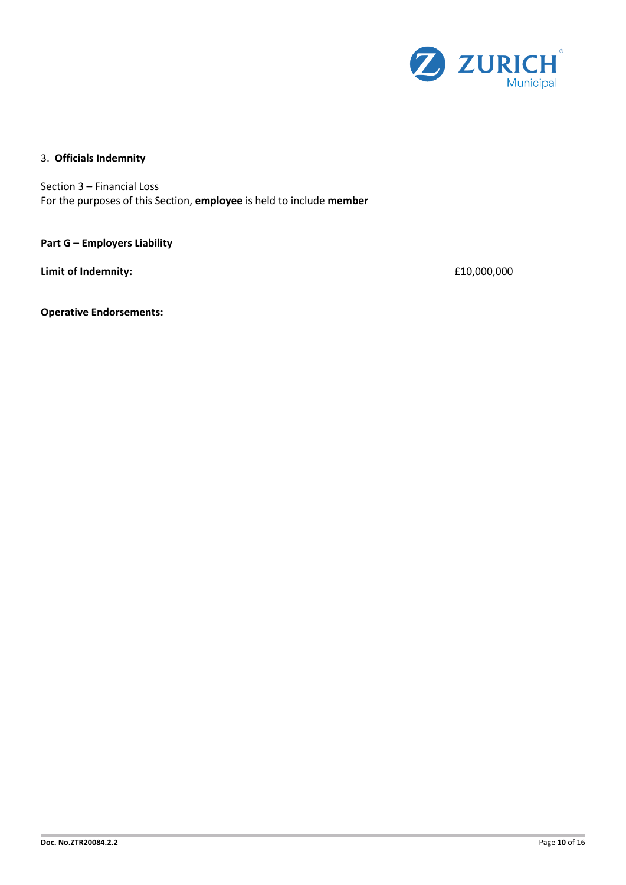

## 3. **Officials Indemnity**

Section 3 – Financial Loss For the purposes of this Section, **employee** is held to include **member**

**Part G – Employers Liability** 

**Limit of Indemnity:**  $£10,000,000$ 

**Operative Endorsements:**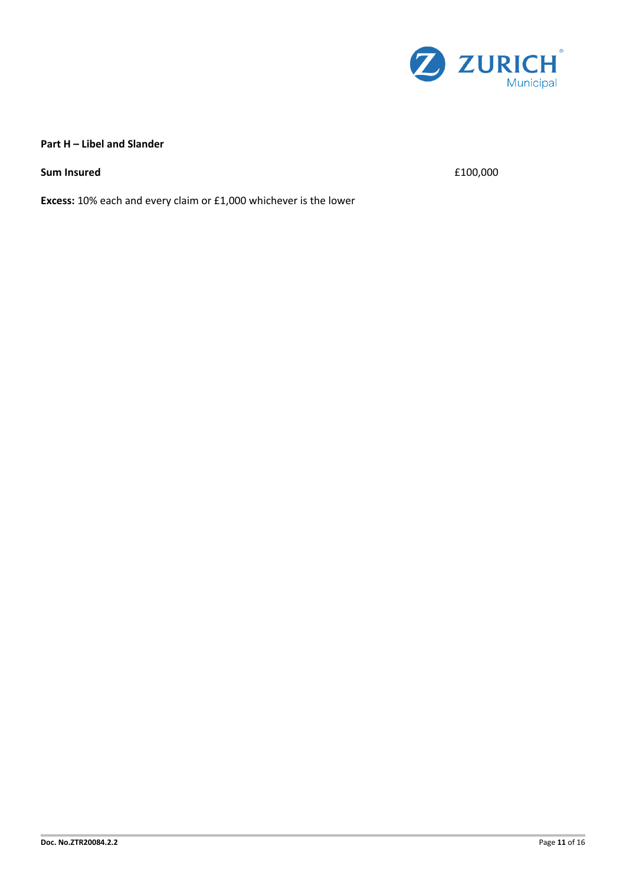

## **Part H – Libel and Slander**

**Sum Insured**  $f(100,000)$ 

**Excess:** 10% each and every claim or £1,000 whichever is the lower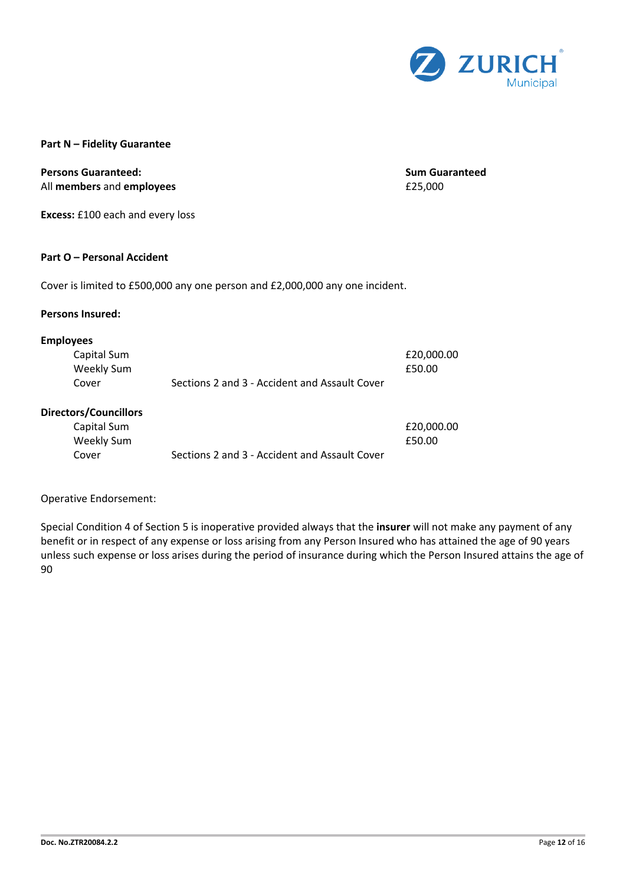

## **Part N – Fidelity Guarantee**

## **Persons Guaranteed: Sum Guaranteed** All **members** and **employees** £25,000

**Excess:** £100 each and every loss

## **Part O – Personal Accident**

Cover is limited to £500,000 any one person and £2,000,000 any one incident.

## **Persons Insured:**

## **Employees**

| Capital Sum |                                               | £20.000.00 |
|-------------|-----------------------------------------------|------------|
| Weekly Sum  |                                               | £50.00     |
| Cover       | Sections 2 and 3 - Accident and Assault Cover |            |

## **Directors/Councillors**

| Capital Sum |                                               | £20,000.00 |
|-------------|-----------------------------------------------|------------|
| Weekly Sum  |                                               | £50.00     |
| Cover       | Sections 2 and 3 - Accident and Assault Cover |            |

## Operative Endorsement:

Special Condition 4 of Section 5 is inoperative provided always that the **insurer** will not make any payment of any benefit or in respect of any expense or loss arising from any Person Insured who has attained the age of 90 years unless such expense or loss arises during the period of insurance during which the Person Insured attains the age of 90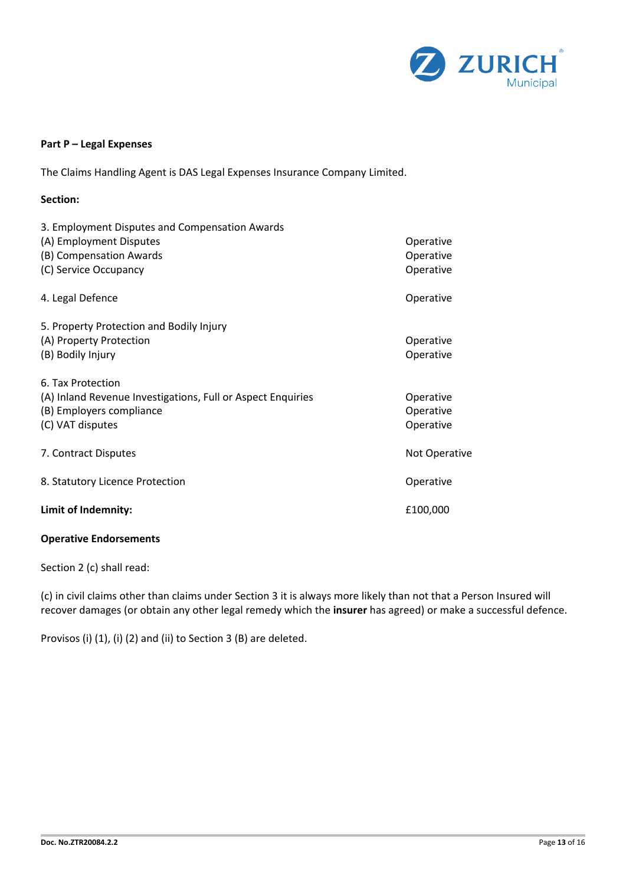

## **Part P – Legal Expenses**

The Claims Handling Agent is DAS Legal Expenses Insurance Company Limited.

| Section:                                                                                                                         |                                     |
|----------------------------------------------------------------------------------------------------------------------------------|-------------------------------------|
| 3. Employment Disputes and Compensation Awards<br>(A) Employment Disputes<br>(B) Compensation Awards<br>(C) Service Occupancy    | Operative<br>Operative<br>Operative |
| 4. Legal Defence                                                                                                                 | Operative                           |
| 5. Property Protection and Bodily Injury<br>(A) Property Protection<br>(B) Bodily Injury                                         | Operative<br>Operative              |
| 6. Tax Protection<br>(A) Inland Revenue Investigations, Full or Aspect Enquiries<br>(B) Employers compliance<br>(C) VAT disputes | Operative<br>Operative<br>Operative |
| 7. Contract Disputes                                                                                                             | Not Operative                       |
| 8. Statutory Licence Protection                                                                                                  | Operative                           |
| Limit of Indemnity:                                                                                                              | £100,000                            |

## **Operative Endorsements**

Section 2 (c) shall read:

(c) in civil claims other than claims under Section 3 it is always more likely than not that a Person Insured will recover damages (or obtain any other legal remedy which the **insurer** has agreed) or make a successful defence.

Provisos (i) (1), (i) (2) and (ii) to Section 3 (B) are deleted.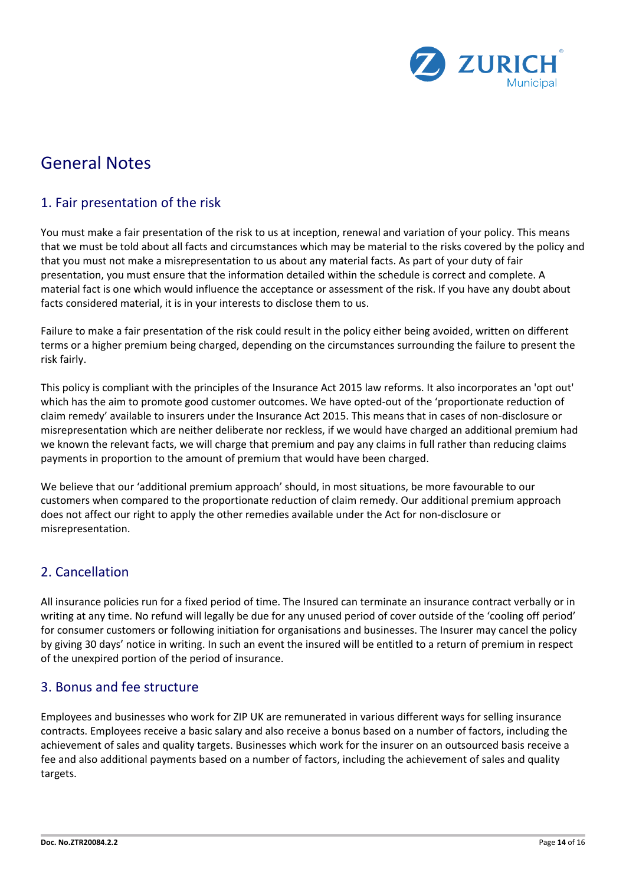

## General Notes

## 1. Fair presentation of the risk

You must make a fair presentation of the risk to us at inception, renewal and variation of your policy. This means that we must be told about all facts and circumstances which may be material to the risks covered by the policy and that you must not make a misrepresentation to us about any material facts. As part of your duty of fair presentation, you must ensure that the information detailed within the schedule is correct and complete. A material fact is one which would influence the acceptance or assessment of the risk. If you have any doubt about facts considered material, it is in your interests to disclose them to us.

Failure to make a fair presentation of the risk could result in the policy either being avoided, written on different terms or a higher premium being charged, depending on the circumstances surrounding the failure to present the risk fairly.

This policy is compliant with the principles of the Insurance Act 2015 law reforms. It also incorporates an 'opt out' which has the aim to promote good customer outcomes. We have opted-out of the 'proportionate reduction of claim remedy' available to insurers under the Insurance Act 2015. This means that in cases of non-disclosure or misrepresentation which are neither deliberate nor reckless, if we would have charged an additional premium had we known the relevant facts, we will charge that premium and pay any claims in full rather than reducing claims payments in proportion to the amount of premium that would have been charged.

We believe that our 'additional premium approach' should, in most situations, be more favourable to our customers when compared to the proportionate reduction of claim remedy. Our additional premium approach does not affect our right to apply the other remedies available under the Act for non-disclosure or misrepresentation.

## 2. Cancellation

All insurance policies run for a fixed period of time. The Insured can terminate an insurance contract verbally or in writing at any time. No refund will legally be due for any unused period of cover outside of the 'cooling off period' for consumer customers or following initiation for organisations and businesses. The Insurer may cancel the policy by giving 30 days' notice in writing. In such an event the insured will be entitled to a return of premium in respect of the unexpired portion of the period of insurance.

## 3. Bonus and fee structure

Employees and businesses who work for ZIP UK are remunerated in various different ways for selling insurance contracts. Employees receive a basic salary and also receive a bonus based on a number of factors, including the achievement of sales and quality targets. Businesses which work for the insurer on an outsourced basis receive a fee and also additional payments based on a number of factors, including the achievement of sales and quality targets.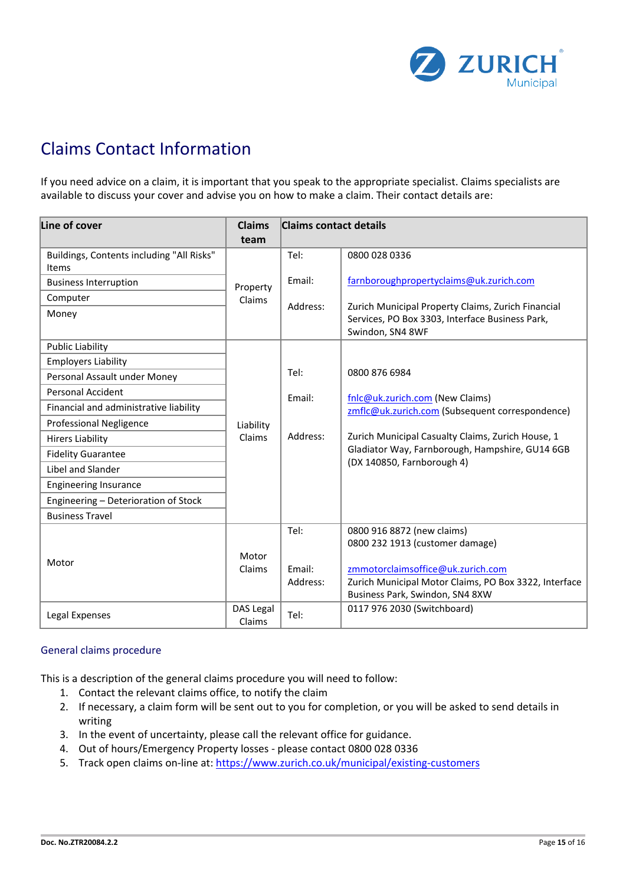

# Claims Contact Information

If you need advice on a claim, it is important that you speak to the appropriate specialist. Claims specialists are available to discuss your cover and advise you on how to make a claim. Their contact details are:

| Line of cover                                                                                                                                                                                                                                                                                                                                     | <b>Claims</b>              | <b>Claims contact details</b> |                                                                                                                                                                                                                                           |
|---------------------------------------------------------------------------------------------------------------------------------------------------------------------------------------------------------------------------------------------------------------------------------------------------------------------------------------------------|----------------------------|-------------------------------|-------------------------------------------------------------------------------------------------------------------------------------------------------------------------------------------------------------------------------------------|
| Buildings, Contents including "All Risks"<br>Items<br><b>Business Interruption</b><br>Computer<br>Money<br><b>Public Liability</b>                                                                                                                                                                                                                | team<br>Property<br>Claims | Tel:<br>Email:<br>Address:    | 0800 028 0336<br>farnboroughpropertyclaims@uk.zurich.com<br>Zurich Municipal Property Claims, Zurich Financial<br>Services, PO Box 3303, Interface Business Park,<br>Swindon, SN4 8WF                                                     |
| <b>Employers Liability</b><br>Personal Assault under Money<br><b>Personal Accident</b><br>Financial and administrative liability<br><b>Professional Negligence</b><br><b>Hirers Liability</b><br><b>Fidelity Guarantee</b><br>Libel and Slander<br><b>Engineering Insurance</b><br>Engineering - Deterioration of Stock<br><b>Business Travel</b> | Liability<br>Claims        | Tel:<br>Email:<br>Address:    | 0800 876 6984<br>fnlc@uk.zurich.com (New Claims)<br>zmflc@uk.zurich.com (Subsequent correspondence)<br>Zurich Municipal Casualty Claims, Zurich House, 1<br>Gladiator Way, Farnborough, Hampshire, GU14 6GB<br>(DX 140850, Farnborough 4) |
| Motor                                                                                                                                                                                                                                                                                                                                             | Motor<br>Claims            | Tel:<br>Email:<br>Address:    | 0800 916 8872 (new claims)<br>0800 232 1913 (customer damage)<br>zmmotorclaimsoffice@uk.zurich.com<br>Zurich Municipal Motor Claims, PO Box 3322, Interface<br>Business Park, Swindon, SN4 8XW                                            |
| Legal Expenses                                                                                                                                                                                                                                                                                                                                    | DAS Legal<br>Claims        | Tel:                          | 0117 976 2030 (Switchboard)                                                                                                                                                                                                               |

## General claims procedure

This is a description of the general claims procedure you will need to follow:

- 1. Contact the relevant claims office, to notify the claim
- 2. If necessary, a claim form will be sent out to you for completion, or you will be asked to send details in writing
- 3. In the event of uncertainty, please call the relevant office for guidance.
- 4. Out of hours/Emergency Property losses please contact 0800 028 0336
- 5. Track open claims on-line at:<https://www.zurich.co.uk/municipal/existing-customers>